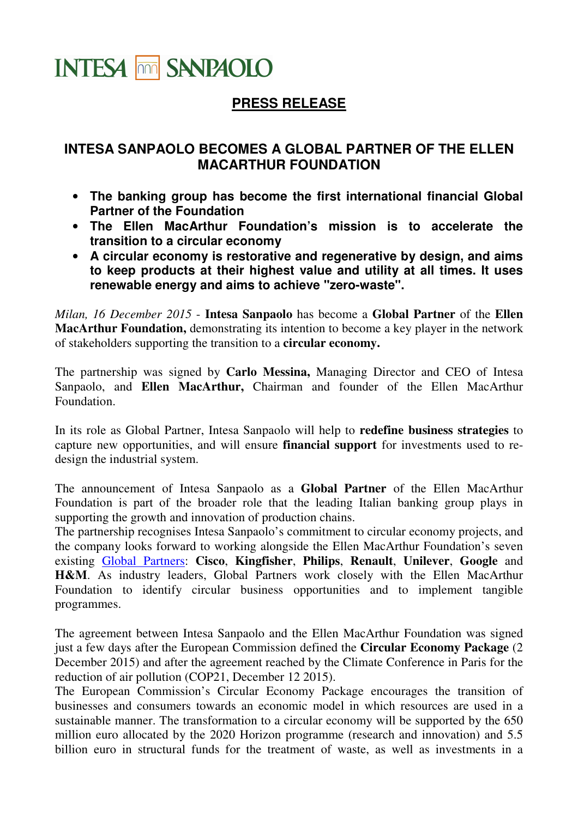## **INTESA THE SANPAOLO**

## **PRESS RELEASE**

## **INTESA SANPAOLO BECOMES A GLOBAL PARTNER OF THE ELLEN MACARTHUR FOUNDATION**

- **The banking group has become the first international financial Global Partner of the Foundation**
- **The Ellen MacArthur Foundation's mission is to accelerate the transition to a circular economy**
- **A circular economy is restorative and regenerative by design, and aims to keep products at their highest value and utility at all times. It uses renewable energy and aims to achieve "zero-waste".**

*Milan, 16 December 2015* - **Intesa Sanpaolo** has become a **Global Partner** of the **Ellen MacArthur Foundation,** demonstrating its intention to become a key player in the network of stakeholders supporting the transition to a **circular economy.** 

The partnership was signed by **Carlo Messina,** Managing Director and CEO of Intesa Sanpaolo, and **Ellen MacArthur,** Chairman and founder of the Ellen MacArthur Foundation.

In its role as Global Partner, Intesa Sanpaolo will help to **redefine business strategies** to capture new opportunities, and will ensure **financial support** for investments used to redesign the industrial system.

The announcement of Intesa Sanpaolo as a **Global Partner** of the Ellen MacArthur Foundation is part of the broader role that the leading Italian banking group plays in supporting the growth and innovation of production chains.

The partnership recognises Intesa Sanpaolo's commitment to circular economy projects, and the company looks forward to working alongside the Ellen MacArthur Foundation's seven existing Global Partners: **Cisco**, **Kingfisher**, **Philips**, **Renault**, **Unilever**, **Google** and **H&M**. As industry leaders, Global Partners work closely with the Ellen MacArthur Foundation to identify circular business opportunities and to implement tangible programmes.

The agreement between Intesa Sanpaolo and the Ellen MacArthur Foundation was signed just a few days after the European Commission defined the **Circular Economy Package** (2 December 2015) and after the agreement reached by the Climate Conference in Paris for the reduction of air pollution (COP21, December 12 2015).

The European Commission's Circular Economy Package encourages the transition of businesses and consumers towards an economic model in which resources are used in a sustainable manner. The transformation to a circular economy will be supported by the 650 million euro allocated by the 2020 Horizon programme (research and innovation) and 5.5 billion euro in structural funds for the treatment of waste, as well as investments in a